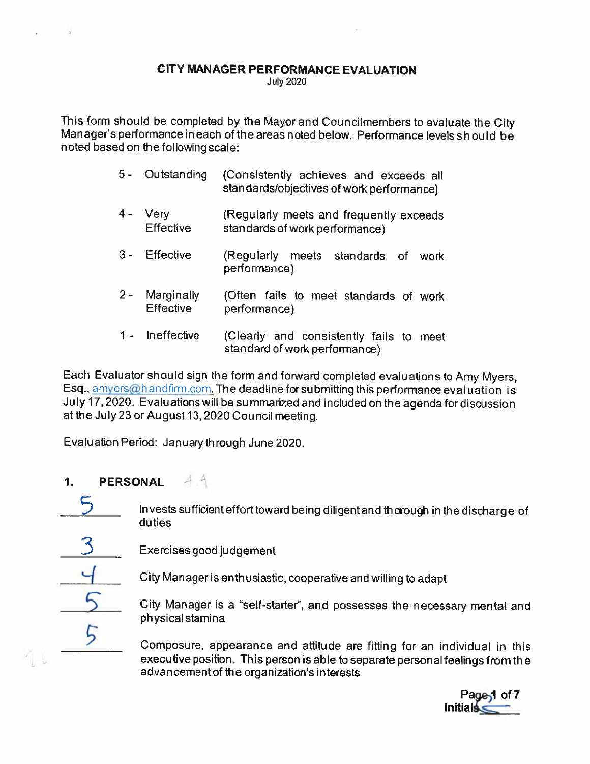#### CITY MANAGER PERFORMANCE EVALUATION

July 2020

This form should be completed by the Mayor and Councilmembers to evaluate the City Manager's performance in each of the areas noted below. Performance levels should be noted based on the following scale:

- 5- Outstanding (Consistently achieves and exceeds all standards/objectives of work performance)
- 4- Very (Regularly meets and frequently exceeds Effective standards of work performance)
- 3- Effective (Regularly meets standards of work performance)
- 2- Marginally (Often fails to meet standards of work Effective performance)
- <sup>1</sup> Ineffective (Clearly and consistently fails to meet standard of work performance)

Each Evaluator should sign the form and forward completed evaluations to Amy Myers, Esq., amyers@handfirm.com. The deadline for submitting this performance evaluation is July 17,2020. Evalu ations will be summarized and included on the agenda for discussion at the July23 or August 13,2020 Council meeting.

Evaluation Period: January through June 2020.

- $44$ 1. PERSONAL
	- Invests sufficient effort toward being diligent and thorough in the discharge of duties
	- Exercises good judgement
- 

 $\frac{1}{2}$ 

City Manager is enthusiastic, cooperative and willing to adapt

City Manager is <sup>a</sup> "self-starter", and possesses the necessary mental and physical stamina

Composure, appearance and attitude are fitting for an individual in this executive position. This person is able to separate personal feelings from the advan cement of the organization's interests

Page<sub>1</sub> of 7 **Initials.**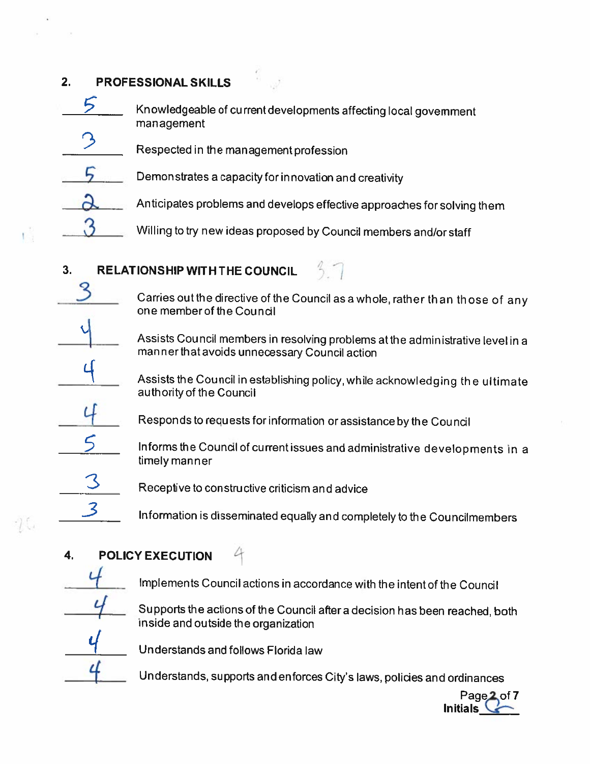#### 2. PROFESSIONAL SKILLS

- Knowledgeable of current developments affecting local government management
- Respected in the management profession
- 5 Demonstrates a capacity for innovation and creativity
- Anticipates problems and develops effective approaches for solving them
- Willing to try new ideas proposed by Council members and/or staff

## 3. RELATIONSHIP WITH THE COUNCIL

- Carries out the directive of the Council as a whole, rather than those of any one memberof the Council
- Assists Council members in resolving problems atthe administrative level in <sup>a</sup> man ner that avoids unnecessary Council action
- Assists the Council in establishing policy,while acknowledging the ultimate authority of the Council
- Responds to requests for information or assistance by the Council
	- Informs the Council of current issues and administrative developments in a timely manner
- Receptive to constructive criticism and advice
	- Information is disseminated equally and completely to the Councilmembers

### 4. POLICY EXECUTION

- 
- Implements Council actions in accordance with the intent of the Council

L.

Supports the actions of the Council after <sup>a</sup> decision has been reached, both inside and outside the organization

Understands and follows Florida law

Understands, supports and enforces City's laws, policies and ordinances

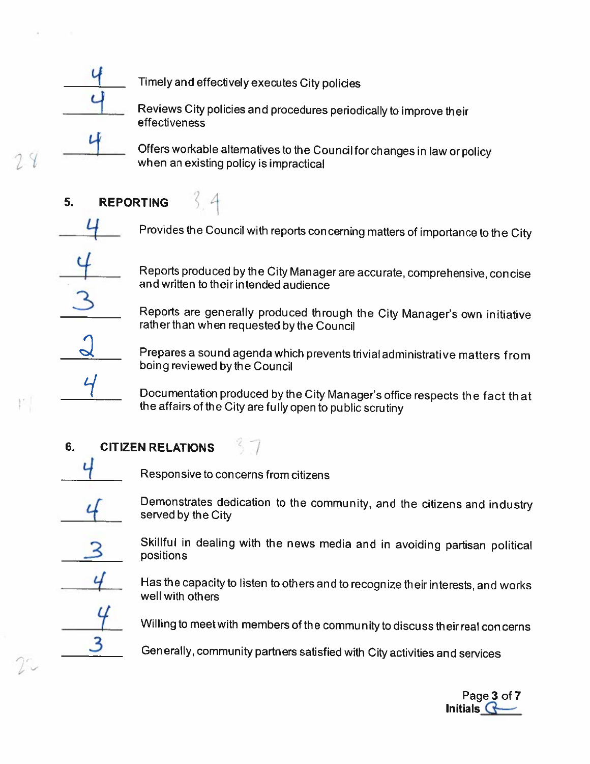

L

24

Timely and effectively executes City polides

Reviews City policies and procedures periodically to improve their effectiveness

Offers workable alternatives to the Council for changes in law or policy when an existing policy is impractical

# 6. REPORTING

Provides the Council with reports concerning matters of importance to the City

Reports produ ced by the City Man ager are accurate, comprehensive, con cise and written to their intended audience

Reports are generally produced through the City Manager's own initiative rather than when requested by the Council

Prepares <sup>a</sup> sound agenda which prevents trivial administrative matters from being reviewed by the Council

Documentation produced by the City Manager's office respects the fact that the affairs of the City are fully open to public scrutiny

### 6. CITIZEN RELATIONS

Responsive to concerns from citizens

Demonstrates dedication to the community, and the citizens and industry served by the City

Skillful in dealing with the news media and in avoiding partisan political positions

Has the capacity to listen to others and to recognize their interests, and works well with others

Willing to meetwith members of the community to discuss their real con cerns

3 Generally, community partners satisfied with City activities and services

Page 3 of 7 Initials  $\mathbf G$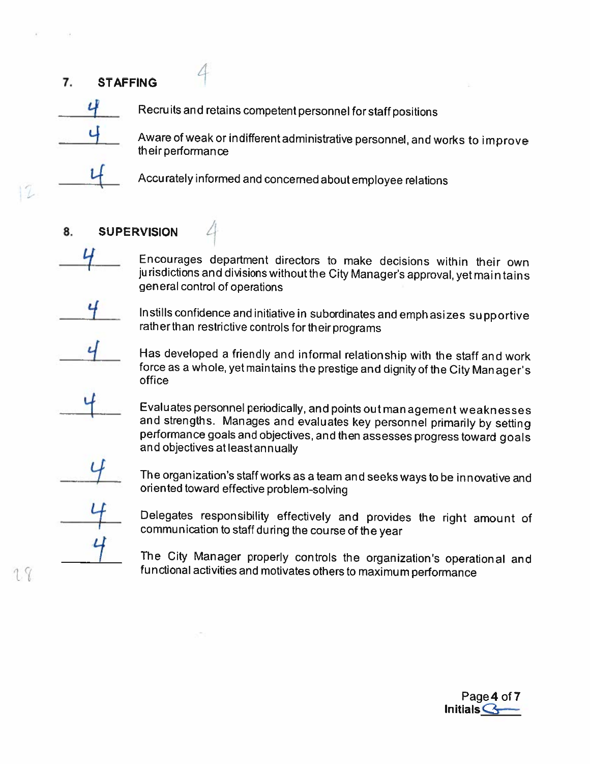#### 7. STAFFING



12

Recruits and retains competent personnel for staff positions

Aware of weak or indifferent administrative personnel, and works to improve their performance

Accurately informed and concerned about employee relations

- 8. SUPERVISION
	- Lf Encourages department directors to make decisions within their own jurisdictions and divisionswithoutthe City Manager's approval, yet maintains general control of operations

Lf Instills confidence and initiative in subordinates and emphasizes supportive rather than restrictive controls for their programs

Has developed <sup>a</sup> friendly and informal relationship with the staff and work force as <sup>a</sup> whole, yet maintains the prestige and dignity of the City Manager's office

Evaluates personnel periodically, and points out man agement weaknesses and strengths. Manages and evaluates key personnel primarily by setting performance goals and objectives, and then assesses progress toward goals and objectives at least annually

The organization's staff works as <sup>a</sup> team and seeks ways to be innovative and oriented toward effective problem-solving

Delegates responsibility effectively and provides the right amount of communication to staff during the course of the year

The City Manager properly controls the organization's operational and functional activities and motivates others to maximum performance

Page 4 of 7

Initials  $\mathbf G$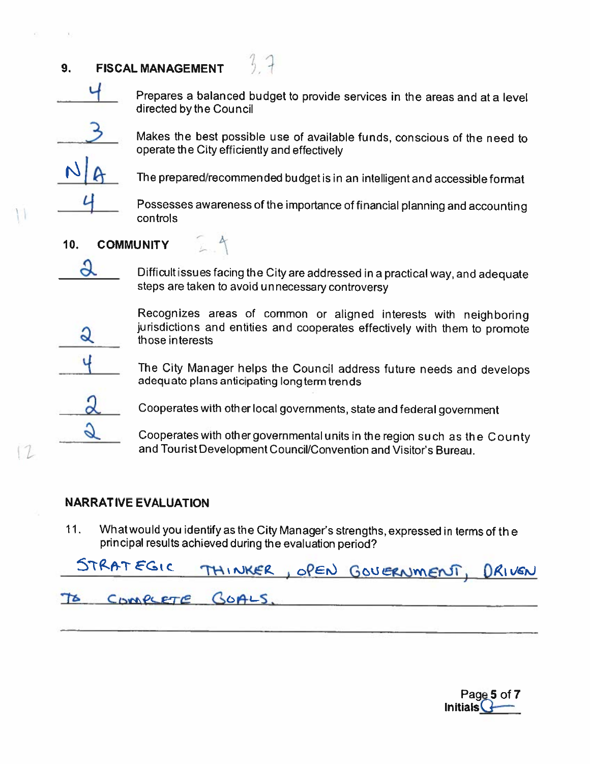#### 9. FISCAL MANAGEMENT

Prepares <sup>a</sup> balanced budget to provide services in the areas and at <sup>a</sup> level directed by the Council

 $2\leq$ 

 $24$ 

Makes the best possible use of available funds, conscious of the need to operate the City efficiently and effectively

The prepared/recommended budget is in an intelligent and accessible format

Possesses awareness of the importance of financial <sup>p</sup>lanning and accounting controls

#### 10. COMMUNITY

a

Q

3

 $\alpha$ 

G

Difficult issues facing the City are addressed in <sup>a</sup> practical way, and adequate steps are taken to avoid unnecessary controversy

Recognizes areas of common or aligned interests with neighboring jurisdictions and entities and cooperates effectively with them to promote those interests

The City Manager helps the Council address future needs and develops adequate <sup>p</sup>lans anticipating long term trends

Cooperates with other local governments, state and federal government

Cooperates with other governmental units in the region such as the County and Tourist Development Council/Convention and Visitor's Bureau.

#### NARRATIVE EVALUATION

12

11. What would you identify as the City Manager's strengths, expressed in terms of the principal results achieved during the evaluation period?

| STRATEGIC THINKER, OPEN GOVERNMENT, DRIVEN |                    |  |  |  |
|--------------------------------------------|--------------------|--|--|--|
|                                            | TO COMPLETE GOALS. |  |  |  |

Page 5 of 7  $Initials$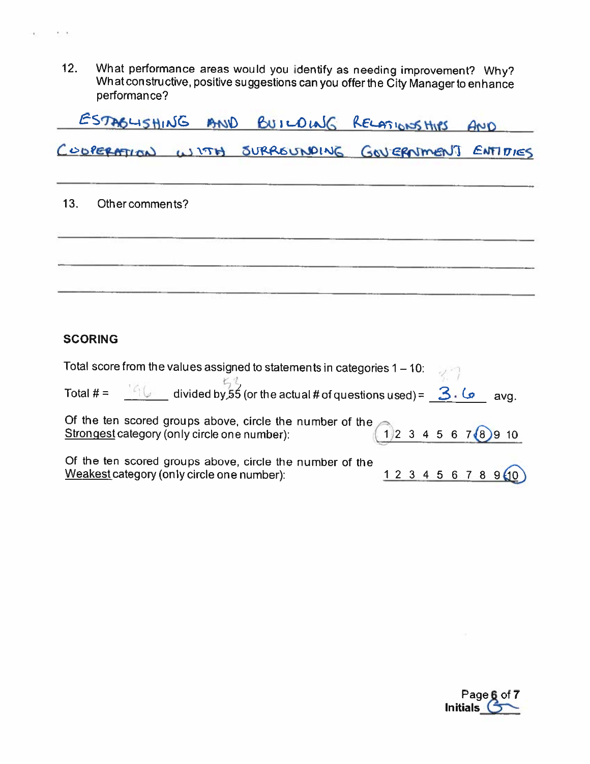12. What performance areas would you identify as needing improvement? Why? What con structive, positive suggestions can you offer the City Manager to enhance performance?

|                     |  | ESTAGUSHING AND BUILDING RELATIONSHIPS AND       |  |
|---------------------|--|--------------------------------------------------|--|
|                     |  | COOPERATION WITH SURROUNDING GOVERNMENT ENTITIES |  |
| 13. Other comments? |  |                                                  |  |
|                     |  |                                                  |  |
|                     |  |                                                  |  |

#### **SCORING**

 $\gamma > 0$ 

| Total score from the values assigned to statements in categories 1 – 10:<br>Total # = $\frac{166}{126}$ divided by 55 (or the actual # of questions used) = $\frac{366}{126}$ |  |  |             |
|-------------------------------------------------------------------------------------------------------------------------------------------------------------------------------|--|--|-------------|
|                                                                                                                                                                               |  |  | avg.        |
| Of the ten scored groups above, circle the number of the $\bigcap_{2} 3$ 4 5 6 7 8 9 10<br>Strongest category (only circle one number):                                       |  |  |             |
| Of the ten scored groups above, circle the number of the<br>Weakest category (only circle one number):                                                                        |  |  | 12345678940 |